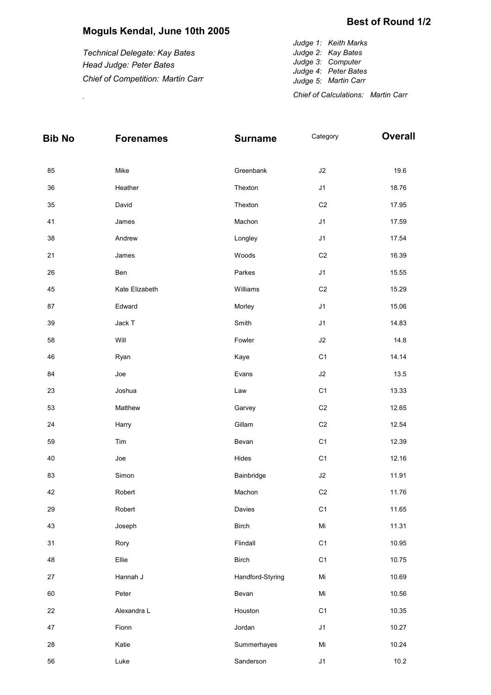## **Moguls Kendal, June 10th 2005**

*Technical Delegate: Kay Bates Head Judge: Peter Bates Chief of Competition: Martin Carr*

*Judge 1: Keith Marks Judge 2: Kay Bates Judge 3: Computer Judge 4: Peter Bates Judge 5: Martin Carr Chief of Calculations: Martin Carr* .

| Bib No | <b>Forenames</b> | <b>Surname</b>   | Category       | <b>Overall</b> |
|--------|------------------|------------------|----------------|----------------|
| 85     | Mike             | Greenbank        | $\sf J2$       | 19.6           |
| 36     | Heather          | Thexton          | J1             | 18.76          |
| 35     | David            | Thexton          | C <sub>2</sub> | 17.95          |
| 41     | James            | Machon           | J <sub>1</sub> | 17.59          |
| 38     | Andrew           | Longley          | J <sub>1</sub> | 17.54          |
| 21     | James            | Woods            | C <sub>2</sub> | 16.39          |
| 26     | Ben              | Parkes           | J <sub>1</sub> | 15.55          |
| 45     | Kate Elizabeth   | Williams         | C <sub>2</sub> | 15.29          |
| 87     | Edward           | Morley           | J <sub>1</sub> | 15.06          |
| 39     | Jack T           | Smith            | J <sub>1</sub> | 14.83          |
| 58     | Will             | Fowler           | J2             | 14.8           |
| 46     | Ryan             | Kaye             | C <sub>1</sub> | 14.14          |
| 84     | Joe              | Evans            | $\sf J2$       | 13.5           |
| 23     | Joshua           | Law              | C <sub>1</sub> | 13.33          |
| 53     | Matthew          | Garvey           | C <sub>2</sub> | 12.65          |
| 24     | Harry            | Gillam           | C <sub>2</sub> | 12.54          |
| 59     | Tim              | Bevan            | C <sub>1</sub> | 12.39          |
| 40     | Joe              | Hides            | C <sub>1</sub> | 12.16          |
| 83     | Simon            | Bainbridge       | $\sf J2$       | 11.91          |
| 42     | Robert           | Machon           | C <sub>2</sub> | 11.76          |
| 29     | Robert           | Davies           | C <sub>1</sub> | 11.65          |
| 43     | Joseph           | <b>Birch</b>     | $\mathsf{Mi}$  | 11.31          |
| 31     | Rory             | Flindall         | C <sub>1</sub> | 10.95          |
| 48     | Ellie            | <b>Birch</b>     | C <sub>1</sub> | 10.75          |
| 27     | Hannah J         | Handford-Styring | Mi             | 10.69          |
| 60     | Peter            | Bevan            | Mi             | 10.56          |
| 22     | Alexandra L      | Houston          | C <sub>1</sub> | 10.35          |
| 47     | Fionn            | Jordan           | J <sub>1</sub> | 10.27          |
| 28     | Katie            | Summerhayes      | Mi             | 10.24          |
| 56     | Luke             | Sanderson        | J <sub>1</sub> | 10.2           |

## **Best of Round 1/2**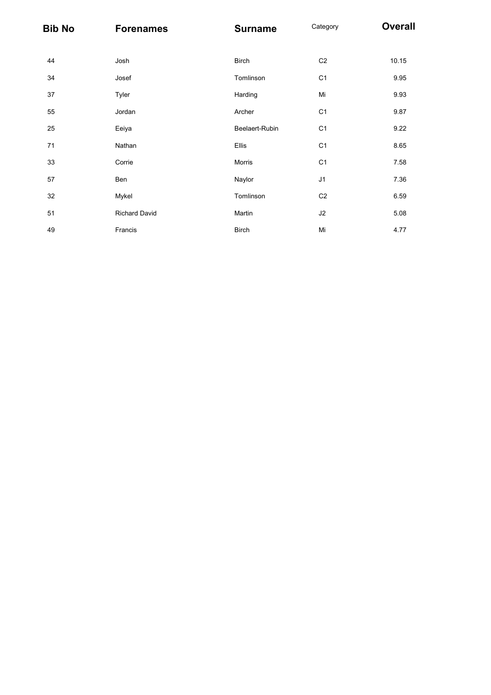| <b>Bib No</b> | <b>Forenames</b> | <b>Surname</b> | Category       | <b>Overall</b> |
|---------------|------------------|----------------|----------------|----------------|
| 44            | Josh             | <b>Birch</b>   | C <sub>2</sub> | 10.15          |
| 34            | Josef            | Tomlinson      | C <sub>1</sub> | 9.95           |
| 37            | Tyler            | Harding        | Mi             | 9.93           |
| 55            | Jordan           | Archer         | C <sub>1</sub> | 9.87           |
| 25            | Eeiya            | Beelaert-Rubin | C <sub>1</sub> | 9.22           |
| 71            | Nathan           | Ellis          | C <sub>1</sub> | 8.65           |
| 33            | Corrie           | Morris         | C <sub>1</sub> | 7.58           |
| 57            | Ben              | Naylor         | J1             | 7.36           |
| 32            | Mykel            | Tomlinson      | C <sub>2</sub> | 6.59           |
| 51            | Richard David    | Martin         | J <sub>2</sub> | 5.08           |
| 49            | Francis          | <b>Birch</b>   | Mi             | 4.77           |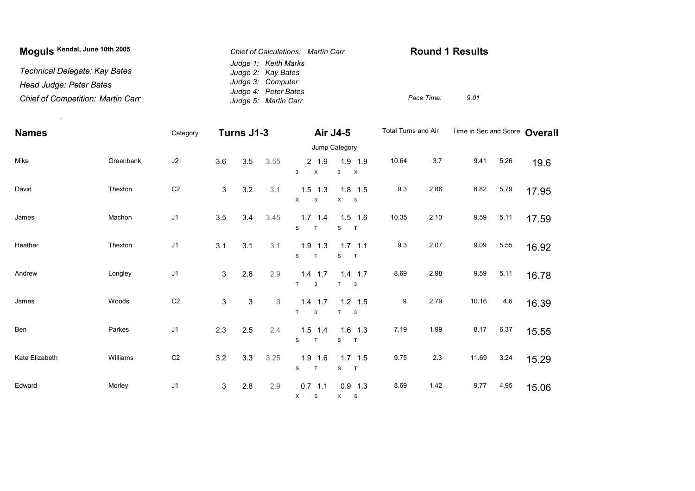| Moguls Kendal, June 10th 2005            | <b>Chief of Calculations: Martin Carr</b> | <b>Round 1 Results</b> |      |  |  |  |
|------------------------------------------|-------------------------------------------|------------------------|------|--|--|--|
|                                          | Judge 1: Keith Marks                      |                        |      |  |  |  |
| Technical Delegate: Kay Bates            | Judge 2: Kay Bates                        |                        |      |  |  |  |
| Head Judge: Peter Bates                  | Judge 3: Computer                         |                        |      |  |  |  |
|                                          | Judge 4: Peter Bates                      |                        |      |  |  |  |
| <b>Chief of Competition: Martin Carr</b> | Judge 5: Martin Carr                      | Pace Time:             | 9.01 |  |  |  |

| <b>Names</b>   |           | Category       |                | Turns J1-3 |             | Air J4-5                                |                                                      | Total Turns and Air |      | Time in Sec and Score Overall |      |       |
|----------------|-----------|----------------|----------------|------------|-------------|-----------------------------------------|------------------------------------------------------|---------------------|------|-------------------------------|------|-------|
|                |           |                |                |            |             |                                         | Jump Category                                        |                     |      |                               |      |       |
| Mike           | Greenbank | $\sf J2$       | 3.6            | 3.5        | 3.55        | 2 1.9<br>$\boldsymbol{\mathsf{X}}$<br>3 | 1.9 1.9<br>$\mathbf{3}$<br>$\boldsymbol{\mathsf{X}}$ | 10.64               | 3.7  | 9.41                          | 5.26 | 19.6  |
| David          | Thexton   | C <sub>2</sub> | $\mathbf{3}$   | 3.2        | 3.1         | $1.5$ 1.3<br>$\mathsf{X}$<br>3          | $1.8$ 1.5<br>X<br>$\overline{\mathbf{3}}$            | 9.3                 | 2.86 | 8.82                          | 5.79 | 17.95 |
| James          | Machon    | J <sub>1</sub> | 3.5            | 3.4        | 3.45        | $1.7$ 1.4<br>S<br>T                     | $1.5$ 1.6<br>S<br>T                                  | 10.35               | 2.13 | 9.59                          | 5.11 | 17.59 |
| Heather        | Thexton   | J <sub>1</sub> | 3.1            | 3.1        | 3.1         | $1.9$ 1.3<br>S<br>T                     | $1.7$ 1.1<br>S<br>$\top$                             | 9.3                 | 2.07 | 9.09                          | 5.55 | 16.92 |
| Andrew         | Longley   | J <sub>1</sub> | 3              | 2.8        | 2.9         | $1.4$ 1.7<br>T<br>3                     | $1.4$ 1.7<br>T<br>3                                  | 8.69                | 2.98 | 9.59                          | 5.11 | 16.78 |
| James          | Woods     | C <sub>2</sub> | $\mathbf{3}$   | 3          | $\mathsf 3$ | $1.4$ 1.7<br>T.<br>3                    | $1.2$ 1.5<br>T<br>$\mathbf{3}$                       | 9                   | 2.79 | 10.16                         | 4.6  | 16.39 |
| Ben            | Parkes    | J1             | 2.3            | $2.5\,$    | 2.4         | $1.5$ 1.4<br>S<br>T                     | $1.6$ 1.3<br>S<br>T                                  | 7.19                | 1.99 | 8.17                          | 6.37 | 15.55 |
| Kate Elizabeth | Williams  | C <sub>2</sub> | 3.2            | 3.3        | 3.25        | $1.9$ 1.6<br>S<br>$\mathsf{T}$          | $1.7$ 1.5<br>S<br>T                                  | 9.75                | 2.3  | 11.69                         | 3.24 | 15.29 |
| Edward         | Morley    | J <sub>1</sub> | $\mathfrak{S}$ | 2.8        | 2.9         | $0.7$ 1.1<br>X S                        | $0.9$ 1.3<br>X S                                     | 8.69                | 1.42 | 9.77                          | 4.95 | 15.06 |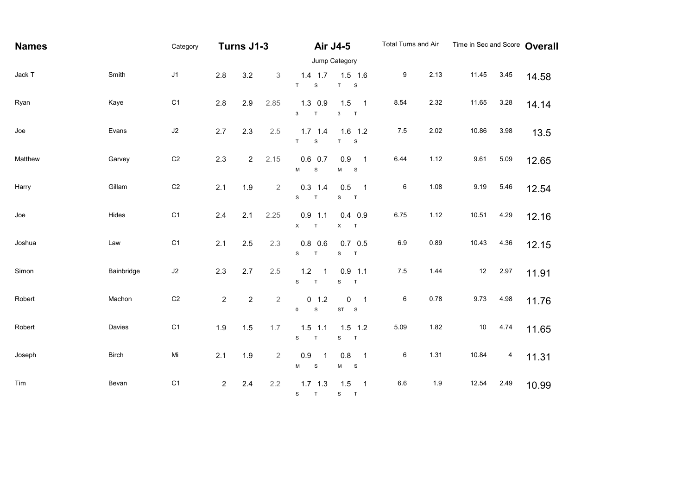| <b>Names</b> |              | Category       | Turns J1-3     |                  | <b>Air J4-5</b> |                                               | Total Turns and Air                                          |                  | Time in Sec and Score Overall |        |      |       |
|--------------|--------------|----------------|----------------|------------------|-----------------|-----------------------------------------------|--------------------------------------------------------------|------------------|-------------------------------|--------|------|-------|
|              |              |                |                |                  |                 |                                               | Jump Category                                                |                  |                               |        |      |       |
| Jack T       | Smith        | J <sub>1</sub> | 2.8            | 3.2              | 3               | $1.4$ 1.7<br>T<br>${\mathsf S}$               | $1.5$ 1.6<br>$\mathsf T$<br>${\bf S}$                        | $\boldsymbol{9}$ | 2.13                          | 11.45  | 3.45 | 14.58 |
| Ryan         | Kaye         | C <sub>1</sub> | 2.8            | 2.9              | 2.85            | $1.3$ 0.9<br>$\mathbf{3}$<br>$\top$           | 1.5<br>$\overline{1}$<br>$\mathbf{3}$<br>$\top$              | 8.54             | 2.32                          | 11.65  | 3.28 | 14.14 |
| Joe          | Evans        | $\sf J2$       | 2.7            | 2.3              | 2.5             | $1.7$ 1.4<br>T<br>$\mathbb S$                 | $1.6$ 1.2<br>T<br>${\bf S}$                                  | 7.5              | 2.02                          | 10.86  | 3.98 | 13.5  |
| Matthew      | Garvey       | $\mathbb{C}2$  | 2.3            | $\overline{2}$   | 2.15            | $0.6$ 0.7<br>$\mathbf S$<br>М                 | 0.9<br>$\overline{\phantom{0}}$ 1<br>$\mathbf{s}$<br>M       | 6.44             | 1.12                          | 9.61   | 5.09 | 12.65 |
| Harry        | Gillam       | $\mathbb{C}2$  | 2.1            | 1.9              | $\overline{2}$  | $0.3$ 1.4<br>$\mathbf S$<br>$\top$            | 0.5<br>$\overline{\phantom{0}}$ 1<br>${\mathsf S}$<br>$\top$ | $\,6\,$          | 1.08                          | 9.19   | 5.46 | 12.54 |
| Joe          | Hides        | C <sub>1</sub> | 2.4            | 2.1              | 2.25            | $0.9$ 1.1<br>$\times$<br>$\top$               | $0.4$ 0.9<br>$\mathsf X$<br>T                                | 6.75             | 1.12                          | 10.51  | 4.29 | 12.16 |
| Joshua       | Law          | C <sub>1</sub> | 2.1            | $2.5\,$          | 2.3             | $0.8$ 0.6<br>$\mathbf{s}$<br>$\top$           | $0.7$ 0.5<br>${\mathbb S}$<br>$\top$                         | 6.9              | 0.89                          | 10.43  | 4.36 | 12.15 |
| Simon        | Bainbridge   | $\sf J2$       | 2.3            | 2.7              | 2.5             | 1.2<br>$\mathbf{1}$<br>$\mathbf{s}$<br>$\top$ | $0.9$ 1.1<br>$\mathbf S$<br>$\top$                           | $7.5$            | 1.44                          | $12\,$ | 2.97 | 11.91 |
| Robert       | Machon       | C <sub>2</sub> | $\overline{2}$ | $\boldsymbol{2}$ | $\overline{2}$  | 0 1.2<br>$\mathsf{O}$<br>${\mathbb S}$        | 0<br>$\overline{\mathbf{1}}$<br>ST<br>S                      | 6                | 0.78                          | 9.73   | 4.98 | 11.76 |
| Robert       | Davies       | C <sub>1</sub> | 1.9            | 1.5              | 1.7             | $1.5$ 1.1<br>$\mathbf{s}$<br>$\top$           | $1.5$ 1.2<br>$\mathbf S$<br>T                                | 5.09             | 1.82                          | $10$   | 4.74 | 11.65 |
| Joseph       | <b>Birch</b> | Mi             | 2.1            | 1.9              | $\overline{2}$  | 0.9<br>$\mathbf 1$<br>M<br>${\mathsf S}$      | 0.8<br>$\overline{\phantom{0}}$ 1<br>M<br>$\mathbf{s}$       | 6                | 1.31                          | 10.84  | 4    | 11.31 |
| Tim          | Bevan        | C <sub>1</sub> | $\overline{2}$ | 2.4              | 2.2             | $1.7$ 1.3<br>S T                              | $1.5$ 1<br>S T                                               | 6.6              | 1.9                           | 12.54  | 2.49 | 10.99 |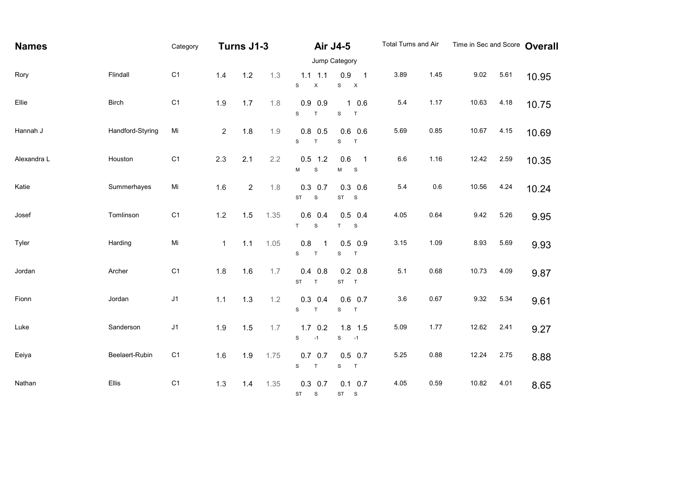| <b>Names</b> |                  | Category       | Turns J1-3   |              | Air J4-5 |                                           | Total Turns and Air                                    |         | Time in Sec and Score |       | Overall |       |
|--------------|------------------|----------------|--------------|--------------|----------|-------------------------------------------|--------------------------------------------------------|---------|-----------------------|-------|---------|-------|
|              |                  |                |              |              |          |                                           | Jump Category                                          |         |                       |       |         |       |
| Rory         | Flindall         | C <sub>1</sub> | 1.4          | $1.2$        | 1.3      | $1.1$ 1.1<br>$\mathbf S$<br>$\mathsf X$   | 0.9<br>$\mathbf{1}$<br>$\mathbf S$<br>$\mathsf{X}$     | 3.89    | 1.45                  | 9.02  | 5.61    | 10.95 |
| Ellie        | <b>Birch</b>     | C <sub>1</sub> | 1.9          | 1.7          | 1.8      | $0.9$ 0.9<br>$\mathbf{s}$<br>$\mathsf{T}$ | 10.6<br>${\bf S}$<br>$\top$                            | 5.4     | 1.17                  | 10.63 | 4.18    | 10.75 |
| Hannah J     | Handford-Styring | Mi             | 2            | 1.8          | 1.9      | $0.8$ 0.5<br>$\mathbf{s}$<br>$\top$       | $0.6$ 0.6<br>$\mathbf S$<br>$\top$                     | 5.69    | 0.85                  | 10.67 | 4.15    | 10.69 |
| Alexandra L  | Houston          | C <sub>1</sub> | 2.3          | 2.1          | 2.2      | $0.5$ 1.2<br>$\mathbf S$<br>M             | 0.6<br>$\overline{\phantom{0}}$ 1<br>$\mathbf{s}$<br>M | $6.6\,$ | 1.16                  | 12.42 | 2.59    | 10.35 |
| Katie        | Summerhayes      | Mi             | 1.6          | $\mathbf{2}$ | 1.8      | $0.3$ 0.7<br><b>ST</b><br>$\mathbf S$     | $0.3$ 0.6<br>$ST$ $S$                                  | 5.4     | 0.6                   | 10.56 | 4.24    | 10.24 |
| Josef        | Tomlinson        | C <sub>1</sub> | 1.2          | 1.5          | 1.35     | $0.6$ 0.4<br>$\top$<br>$\mathbb S$        | $0.5$ 0.4<br>$\top$<br>${\mathsf S}$                   | 4.05    | 0.64                  | 9.42  | 5.26    | 9.95  |
| Tyler        | Harding          | Mi             | $\mathbf{1}$ | $1.1$        | 1.05     | 0.8<br>1<br>$\mathbf{s}$<br>$\top$        | $0.5$ 0.9<br>$\mathbf S$<br>T                          | 3.15    | 1.09                  | 8.93  | 5.69    | 9.93  |
| Jordan       | Archer           | C <sub>1</sub> | 1.8          | 1.6          | 1.7      | $0.4$ 0.8<br><b>ST</b><br>$\mathsf T$     | $0.2\ 0.8$<br>ST T                                     | 5.1     | 0.68                  | 10.73 | 4.09    | 9.87  |
| Fionn        | Jordan           | J1             | 1.1          | 1.3          | 1.2      | $0.3$ 0.4<br>$\mathbf S$<br>$\top$        | $0.6$ 0.7<br>${\mathsf S}$<br>$\top$                   | 3.6     | 0.67                  | 9.32  | 5.34    | 9.61  |
| Luke         | Sanderson        | J1             | 1.9          | 1.5          | 1.7      | $1.7 \t0.2$<br>$\mathbf{s}$<br>$-1$       | $1.8$ 1.5<br>${\tt S}$<br>$-1$                         | 5.09    | 1.77                  | 12.62 | 2.41    | 9.27  |
| Eeiya        | Beelaert-Rubin   | C <sub>1</sub> | 1.6          | 1.9          | 1.75     | $0.7$ 0.7<br>$\mathbf{s}$<br>$\top$       | $0.5$ 0.7<br>$\top$<br>${\bf S}$                       | 5.25    | 0.88                  | 12.24 | 2.75    | 8.88  |
| Nathan       | Ellis            | C <sub>1</sub> | 1.3          | 1.4          | 1.35     | $0.3$ 0.7<br>ST S                         | $0.1 \quad 0.7$<br>ST S                                | 4.05    | 0.59                  | 10.82 | 4.01    | 8.65  |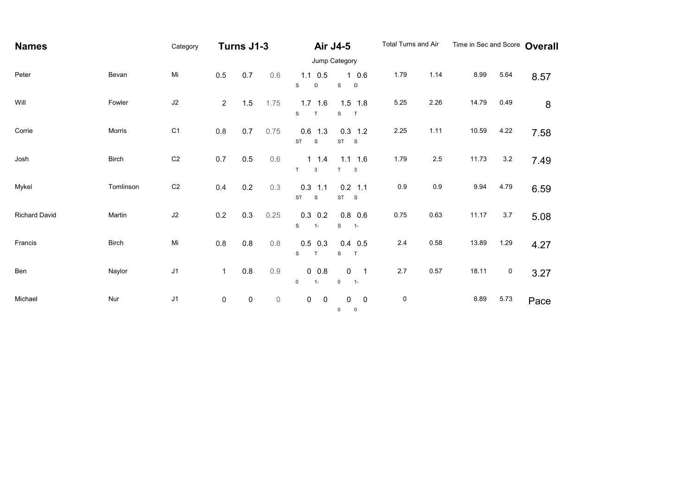| <b>Names</b>         |              | Category       | Turns J1-3     |           | <b>Air J4-5</b> |                                         | Total Turns and Air                                               |           | Time in Sec and Score Overall |       |           |      |  |
|----------------------|--------------|----------------|----------------|-----------|-----------------|-----------------------------------------|-------------------------------------------------------------------|-----------|-------------------------------|-------|-----------|------|--|
|                      |              |                |                |           |                 |                                         | Jump Category                                                     |           |                               |       |           |      |  |
| Peter                | Bevan        | Mi             | 0.5            | 0.7       | 0.6             | $1.1 \t0.5$<br>S<br>D                   | 10.6<br>$\mathbf S$<br>$\mathsf D$                                | 1.79      | 1.14                          | 8.99  | 5.64      | 8.57 |  |
| Will                 | Fowler       | $\sf J2$       | $\overline{2}$ | $1.5$     | 1.75            | $1.7$ 1.6<br>$\mathbf{s}$<br>T          | $1.5$ 1.8<br>${\tt S}$<br>T                                       | 5.25      | 2.26                          | 14.79 | 0.49      | 8    |  |
| Corrie               | Morris       | C <sub>1</sub> | 0.8            | 0.7       | 0.75            | $0.6$ 1.3<br><b>ST</b><br>${\mathbb S}$ | $0.3$ 1.2<br>$\begin{matrix} ST & S \end{matrix}$                 | 2.25      | 1.11                          | 10.59 | 4.22      | 7.58 |  |
| Josh                 | <b>Birch</b> | C <sub>2</sub> | $0.7\,$        | $0.5\,$   | 0.6             | $1 \t1.4$<br>T<br>$\mathbf{3}$          | $1.1$ 1.6<br>T<br>$\mathbf{3}$                                    | 1.79      | 2.5                           | 11.73 | $3.2\,$   | 7.49 |  |
| Mykel                | Tomlinson    | C <sub>2</sub> | 0.4            | $0.2\,$   | 0.3             | $0.3$ 1.1<br><b>ST</b><br>${\mathbb S}$ | $0.2$ 1.1<br>$ST$ $S$                                             | 0.9       | 0.9                           | 9.94  | 4.79      | 6.59 |  |
| <b>Richard David</b> | Martin       | $\sf J2$       | 0.2            | 0.3       | 0.25            | $0.3$ 0.2<br>S<br>$1-$                  | $0.8\ 0.6$<br>$\mathbf S$<br>$1 -$                                | 0.75      | 0.63                          | 11.17 | 3.7       | 5.08 |  |
| Francis              | <b>Birch</b> | Mi             | $0.8\,$        | $0.8\,$   | $0.8\,$         | $0.5$ 0.3<br>T<br>$\mathbf S$           | $0.4$ 0.5<br>$\top$<br>S                                          | $2.4\,$   | 0.58                          | 13.89 | 1.29      | 4.27 |  |
| Ben                  | Naylor       | J1             | $\mathbf{1}$   | $0.8\,$   | 0.9             | $0\ 0.8$<br>$\mathbf 0$<br>$1-$         | $\mathbf 0$<br>$\overline{\phantom{0}}$ 1<br>$\mathsf 0$<br>$1 -$ | $2.7\,$   | 0.57                          | 18.11 | $\pmb{0}$ | 3.27 |  |
| Michael              | Nur          | J1             | $\mathsf 0$    | $\pmb{0}$ | $\mathbb O$     | $\mathbf 0$<br>$\mathsf 0$              | $\pmb{0}$<br>$\mathbf 0$<br>0<br>0                                | $\pmb{0}$ |                               | 8.89  | 5.73      | Pace |  |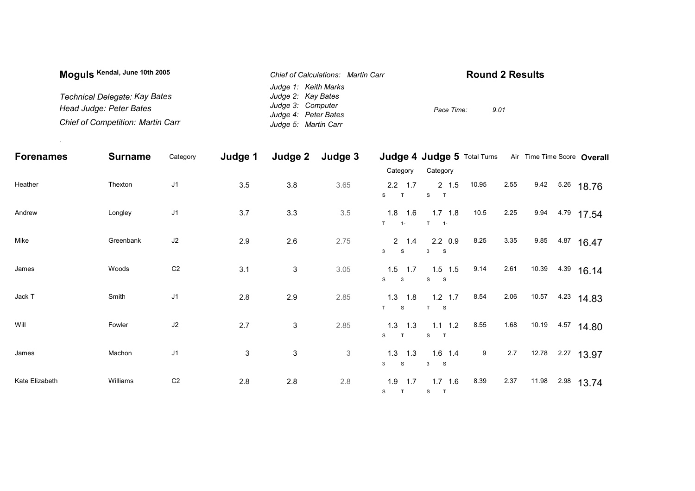| Moguls Kendal, June 10th 2005            | <b>Chief of Calculations: Martin Carr</b> | <b>Round 2 Results</b> |
|------------------------------------------|-------------------------------------------|------------------------|
|                                          | Judge 1: Keith Marks                      |                        |
| Technical Delegate: Kay Bates            | Judge 2: Kay Bates                        |                        |
| Head Judge: Peter Bates                  | Judge 3: Computer                         | 9.01<br>Pace Time:     |
|                                          | Judge 4: Peter Bates                      |                        |
| <b>Chief of Competition: Martin Carr</b> | Judge 5: Martin Carr                      |                        |

.

| <b>Forenames</b> | <b>Surname</b> | Category       | Judge 1        | Judge 2                   | Judge 3                   |                                 | Judge 4 Judge 5 Total Turns Air Time Time Score Overall |       |      |       |                 |
|------------------|----------------|----------------|----------------|---------------------------|---------------------------|---------------------------------|---------------------------------------------------------|-------|------|-------|-----------------|
|                  |                |                |                |                           |                           | Category                        | Category                                                |       |      |       |                 |
| Heather          | Thexton        | $\sf J1$       | 3.5            | 3.8                       | 3.65                      | $2.2$ 1.7<br>S                  | $2 \t1.5$<br>S<br>$\top$                                | 10.95 | 2.55 |       | 9.42 5.26 18.76 |
| Andrew           | Longley        | J1             | 3.7            | 3.3                       | 3.5                       | $1.8$ 1.6<br>T<br>$\sim$ 1-     | $1.7$ 1.8<br>$T = 1$                                    | 10.5  | 2.25 |       | 9.94 4.79 17.54 |
| Mike             | Greenbank      | J2             | 2.9            | 2.6                       | 2.75                      | $2 \t1.4$<br>${\mathsf S}$<br>3 | $2.2\quad0.9$<br>3 S                                    | 8.25  | 3.35 | 9.85  | $4.87$ 16.47    |
| James            | Woods          | C <sub>2</sub> | 3.1            | $\ensuremath{\mathsf{3}}$ | 3.05                      | $1.5$ 1.7<br>S<br>$\mathbf{3}$  | $1.5$ 1.5<br>S S                                        | 9.14  | 2.61 | 10.39 | $4.39$ 16.14    |
| Jack T           | Smith          | J1             | 2.8            | 2.9                       | 2.85                      | $1.3$ $1.8$<br>S<br>T           | $1.2$ 1.7<br>T S                                        | 8.54  | 2.06 | 10.57 | $4.23$ 14.83    |
| Will             | Fowler         | J2             | 2.7            | $\mathsf 3$               | 2.85                      | $1.3$ $1.3$<br>S<br>T           | $1.1 \quad 1.2$<br>S<br>$\mathsf{T}$                    | 8.55  | 1.68 | 10.19 | 4.57 14.80      |
| James            | Machon         | J1             | $\mathfrak{S}$ | $\ensuremath{\mathsf{3}}$ | $\ensuremath{\mathsf{3}}$ | $1.3$ $1.3$<br>S<br>3           | $1.6$ 1.4<br>3 S                                        | 9     | 2.7  | 12.78 | $2.27$ 13.97    |
| Kate Elizabeth   | Williams       | C <sub>2</sub> | 2.8            | 2.8                       | $2.8\,$                   | 1.9<br>1.7<br>S<br>$\top$       | $1.7$ 1.6<br>S T                                        | 8.39  | 2.37 | 11.98 | $2.98$ 13.74    |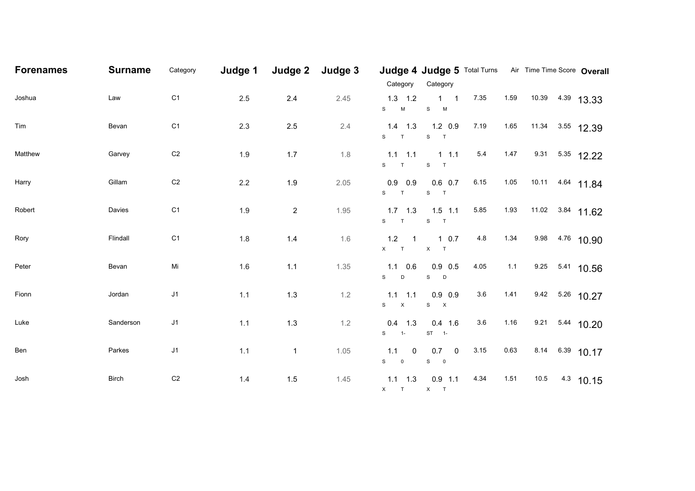| <b>Forenames</b> | <b>Surname</b> | Category       | Judge 1 | Judge 2        | Judge 3 | Category                                  | Judge 4 Judge 5 Total Turns Air Time Time Score Overall<br>Category |      |       |      |                  |
|------------------|----------------|----------------|---------|----------------|---------|-------------------------------------------|---------------------------------------------------------------------|------|-------|------|------------------|
| Joshua           | Law            | C <sub>1</sub> | 2.5     | $2.4\,$        | 2.45    | $1.3$ $1.2$<br>S<br>${\sf M}$             | $1 \quad 1$<br>$S$ M                                                | 7.35 | 1.59  |      | 10.39 4.39 13.33 |
| Tim              | Bevan          | C <sub>1</sub> | 2.3     | $2.5\,$        | 2.4     | $1.4$ 1.3<br>S<br>$\top$                  | $1.2 \quad 0.9$<br>S T                                              | 7.19 | 1.65  |      | 11.34 3.55 12.39 |
| Matthew          | Garvey         | C <sub>2</sub> | 1.9     | $1.7$          | $1.8\,$ | $1.1$ 1.1<br>S T                          | $1 \t1.1$<br>${\mathsf S}$<br>$\top$                                | 5.4  | 1.47  |      | 9.31 5.35 12.22  |
| Harry            | Gillam         | C <sub>2</sub> | $2.2\,$ | 1.9            | 2.05    | $0.9$ 0.9<br>S<br>$\mathsf{T}$            | $0.6$ 0.7<br>$S$ T                                                  | 6.15 | 1.05  |      | 10.11 4.64 11.84 |
| Robert           | Davies         | C <sub>1</sub> | $1.9$   | $\overline{2}$ | 1.95    | $1.7$ 1.3<br>$S$ T                        | $1.5$ 1.1<br>$S$ T                                                  | 5.85 | 1.93  |      | 11.02 3.84 11.62 |
| Rory             | Flindall       | C <sub>1</sub> | $1.8$   | $1.4$          | 1.6     | 1.2<br>$\mathbf{1}$<br>$X$ T              | $1 \t0.7$<br>$X$ T                                                  | 4.8  | 1.34  | 9.98 | 4.76 10.90       |
| Peter            | Bevan          | Mi             | 1.6     | 1.1            | 1.35    | $1.1 \quad 0.6$<br>S<br>D                 | $0.9$ 0.5<br>$S$ D                                                  | 4.05 | $1.1$ |      | 9.25 5.41 10.56  |
| Fionn            | Jordan         | J1             | 1.1     | $1.3$          | $1.2\,$ | $1.1$ 1.1<br>${\bf S}$ $\qquad$ ${\bf X}$ | $0.9\ 0.9$<br>S X                                                   | 3.6  | 1.41  |      | 9.42 5.26 10.27  |
| Luke             | Sanderson      | J1             | 1.1     | $1.3$          | $1.2$   | $0.4$ 1.3<br>$S \t1$                      | $0.4$ 1.6<br>$ST - 1$                                               | 3.6  | 1.16  |      | 9.21 5.44 10.20  |
| Ben              | Parkes         | J1             | 1.1     | $\mathbf{1}$   | 1.05    | $1.1 \t 0$<br>${\bf S}$ ${\bf 0}$         | $0.7 \t 0$<br>${\bf S}$ ${\bf 0}$                                   | 3.15 | 0.63  | 8.14 | $6.39$ 10.17     |
| Josh             | <b>Birch</b>   | C <sub>2</sub> | $1.4$   | $1.5$          | 1.45    | $1.1 \quad 1.3$<br>X T X T                | $0.9$ 1.1                                                           | 4.34 | 1.51  | 10.5 | $4.3$ 10.15      |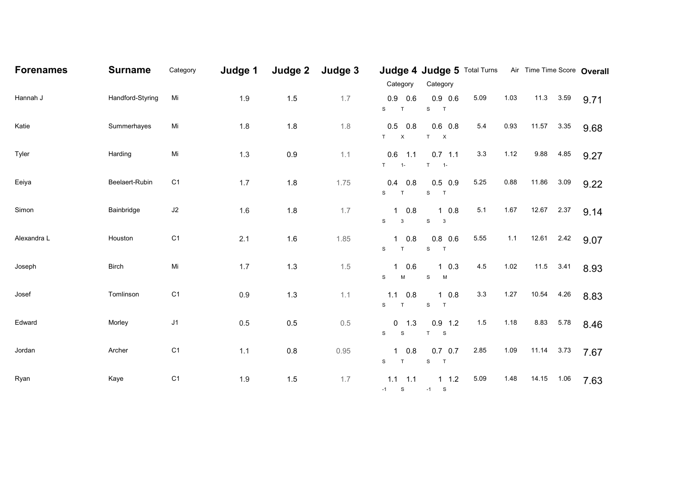| <b>Forenames</b> | <b>Surname</b>   | Category       | Judge 1 |         | Judge 2 Judge 3 | Category                                 | Judge 4 Judge 5 Total Turns Air Time Time Score Overall<br>Category |      |      |            |           |      |
|------------------|------------------|----------------|---------|---------|-----------------|------------------------------------------|---------------------------------------------------------------------|------|------|------------|-----------|------|
| Hannah J         | Handford-Styring | Mi             | 1.9     | 1.5     | 1.7             | 0.9<br>0.6<br>S<br>$\mathsf{T}$          | $0.9$ 0.6<br>$\mathbf S$<br>$\mathsf{T}$                            | 5.09 | 1.03 |            | 11.3 3.59 | 9.71 |
| Katie            | Summerhayes      | Mi             | 1.8     | 1.8     | 1.8             | 0.5<br>0.8<br>$T$ X                      | $0.6$ 0.8<br>T X                                                    | 5.4  | 0.93 | 11.57 3.35 |           | 9.68 |
| Tyler            | Harding          | Mi             | 1.3     | 0.9     | 1.1             | 0.6<br>1.1<br>$T = 1$                    | $0.7$ 1.1<br>$\mathsf{T}$<br>$-1$                                   | 3.3  | 1.12 | 9.88       | 4.85      | 9.27 |
| Eeiya            | Beelaert-Rubin   | C <sub>1</sub> | 1.7     | 1.8     | 1.75            | $0.4$ 0.8<br>S<br>$\mathsf{T}$           | $0.5$ 0.9<br>${\mathbb S}$<br>$\overline{1}$                        | 5.25 | 0.88 | 11.86      | 3.09      | 9.22 |
| Simon            | Bainbridge       | $\sf J2$       | 1.6     | 1.8     | 1.7             | $1 \t0.8$<br>$\mathbf S$<br>$\mathbf{3}$ | $1 \t0.8$<br>${\mathsf S}$<br>$\overline{\mathbf{3}}$               | 5.1  | 1.67 | 12.67      | 2.37      | 9.14 |
| Alexandra L      | Houston          | C <sub>1</sub> | 2.1     | $1.6$   | 1.85            | 0.8<br>$\mathbf{1}$<br>$\mathbf S$<br>T  | $0.8\ 0.6$<br>${\mathbb S}$<br>$\mathsf{T}$                         | 5.55 | 1.1  | 12.61 2.42 |           | 9.07 |
| Joseph           | <b>Birch</b>     | Mi             | 1.7     | $1.3$   | 1.5             | 10.6<br>S<br>M                           | $1 \t0.3$<br>${\mathsf S}$<br>M                                     | 4.5  | 1.02 |            | 11.5 3.41 | 8.93 |
| Josef            | Tomlinson        | C <sub>1</sub> | $0.9\,$ | $1.3$   | 1.1             | 1.1<br>0.8<br>S T                        | $1 \t0.8$<br>${\mathsf S}$<br>$\top$                                | 3.3  | 1.27 | 10.54      | 4.26      | 8.83 |
| Edward           | Morley           | J1             | 0.5     | 0.5     | 0.5             | $0 \t 1.3$<br>S<br><sub>S</sub>          | $0.9$ 1.2<br>$\top$<br>$\mathbf{s}$                                 | 1.5  | 1.18 |            | 8.83 5.78 | 8.46 |
| Jordan           | Archer           | C <sub>1</sub> | $1.1$   | $0.8\,$ | 0.95            | 0.8<br>$\mathbf{1}$<br>S<br>T            | $0.7\quad 0.7$<br>S T                                               | 2.85 | 1.09 | 11.14 3.73 |           | 7.67 |
| Ryan             | Kaye             | C <sub>1</sub> | $1.9$   | $1.5$   | 1.7             | $1.1$ 1.1<br>$-1$ S                      | $1 \t1.2$<br>$-1$ S                                                 | 5.09 | 1.48 | 14.15      | 1.06      | 7.63 |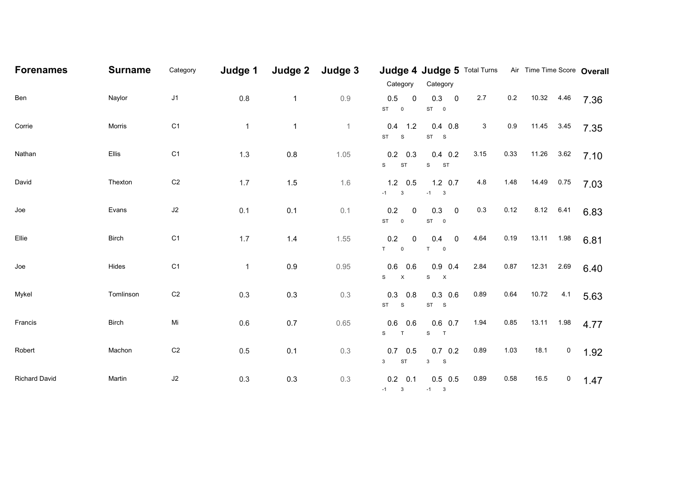| <b>Forenames</b>     | <b>Surname</b> | Category       | Judge 1      |              | Judge 2 Judge 3 | Category                                                              | Judge 4 Judge 5 Total Turns Air Time Time Score Overall<br>Category |      |         |            |             |      |
|----------------------|----------------|----------------|--------------|--------------|-----------------|-----------------------------------------------------------------------|---------------------------------------------------------------------|------|---------|------------|-------------|------|
| Ben                  | Naylor         | J1             | $0.8\,$      | $\mathbf{1}$ | 0.9             | 0.5<br>$\mathbf 0$<br>$ST$ 0                                          | 0.3<br>$\overline{\mathbf{0}}$<br>$ST$ 0                            | 2.7  | $0.2\,$ | 10.32      | 4.46        | 7.36 |
| Corrie               | Morris         | C <sub>1</sub> | $\mathbf{1}$ | $\mathbf{1}$ | $\mathbf{1}$    | $0.4$ 1.2<br>$\begin{matrix} ST & S \end{matrix}$                     | $0.4$ 0.8<br>$ST$ $S$                                               | 3    | 0.9     | 11.45      | 3.45        | 7.35 |
| Nathan               | Ellis          | C <sub>1</sub> | $1.3$        | 0.8          | 1.05            | $0.2$ 0.3<br><b>ST</b><br>S                                           | $0.4$ 0.2<br>${\mathsf S}$<br><b>ST</b>                             | 3.15 | 0.33    | 11.26      | 3.62        | 7.10 |
| David                | Thexton        | $\mbox{C2}$    | 1.7          | 1.5          | 1.6             | $1.2$ 0.5<br>$-1$ 3                                                   | $1.2 \quad 0.7$<br>$-1$ 3                                           | 4.8  | 1.48    | 14.49      | 0.75        | 7.03 |
| Joe                  | Evans          | $\sf J2$       | 0.1          | 0.1          | 0.1             | 0.2<br>$\overline{0}$<br>ST 0                                         | 0.3<br>$\overline{\mathbf{0}}$<br>$ST \t 0$                         | 0.3  | 0.12    | 8.12       | 6.41        | 6.83 |
| Ellie                | <b>Birch</b>   | C <sub>1</sub> | 1.7          | $1.4$        | 1.55            | $0.2\,$<br>$\mathbf 0$<br>$\begin{matrix} T & \quad & 0 \end{matrix}$ | $\overline{0}$<br>0.4<br>$T \qquad 0$                               | 4.64 | 0.19    | 13.11 1.98 |             | 6.81 |
| Joe                  | Hides          | C <sub>1</sub> | $\mathbf{1}$ | 0.9          | 0.95            | 0.6<br>0.6<br>$\mathsf{X}$<br>S                                       | $0.9$ 0.4<br>${\bf S}$ $ {\bf X}$                                   | 2.84 | 0.87    | 12.31      | 2.69        | 6.40 |
| Mykel                | Tomlinson      | $\mbox{C2}$    | 0.3          | $0.3\,$      | 0.3             | 0.3<br>0.8<br>$\begin{matrix} ST & S \end{matrix}$                    | $0.3$ 0.6<br>$\begin{matrix} ST & S \end{matrix}$                   | 0.89 | 0.64    | 10.72      | 4.1         | 5.63 |
| Francis              | <b>Birch</b>   | Mi             | $0.6\,$      | $0.7\,$      | 0.65            | 0.6<br>0.6<br>S<br>T                                                  | $0.6$ 0.7<br>${\bf S}$<br>$\top$                                    | 1.94 | 0.85    | 13.11 1.98 |             | 4.77 |
| Robert               | Machon         | $\mbox{C2}$    | 0.5          | 0.1          | 0.3             | $0.7\quad 0.5$<br><b>ST</b><br>3 <sup>7</sup>                         | $0.7\ 0.2$<br>3 S                                                   | 0.89 | 1.03    | 18.1       | $\mathbf 0$ | 1.92 |
| <b>Richard David</b> | Martin         | $\sf J2$       | 0.3          | $0.3\,$      | 0.3             | $0.2 \quad 0.1$<br>$-1$ 3                                             | $0.5$ 0.5<br>$-1$ 3                                                 | 0.89 | 0.58    | 16.5       | $\mathbf 0$ | 1.47 |